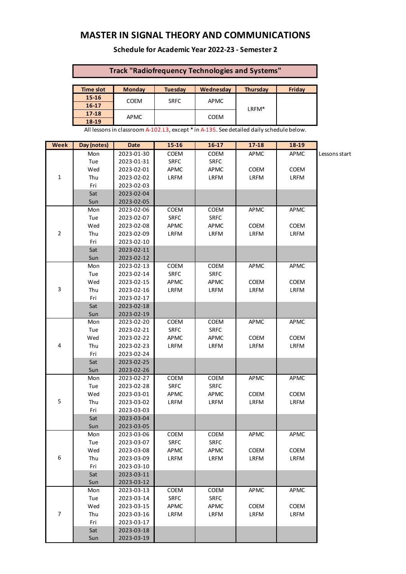# **MASTER IN SIGNAL THEORY AND COMMUNICATIONS**

#### **Schedule for Academic Year 2022-23 - Semester 2**

### **Track "Radiofrequency Technologies and Systems"**

| <b>Time slot</b> | <b>Monday</b> | <b>Tuesday</b> | Wednesday   | <b>Thursday</b>   | Friday |
|------------------|---------------|----------------|-------------|-------------------|--------|
| $15 - 16$        | <b>COEM</b>   | <b>SRFC</b>    | APMC        | LRFM <sup>*</sup> |        |
| $16 - 17$        |               |                |             |                   |        |
| $17 - 18$        | <b>APMC</b>   |                | <b>COEM</b> |                   |        |
| 18-19            |               |                |             |                   |        |

All lessons in classroom A-102.L3, except \* in A-135. See detailed daily schedule below.

| Week           | Day (notes) | Date       | 15-16       | 16-17       | $17 - 18$ | 18-19       |               |
|----------------|-------------|------------|-------------|-------------|-----------|-------------|---------------|
|                | Mon         | 2023-01-30 | COEM        | <b>COEM</b> | APMC      | <b>APMC</b> | Lessons start |
|                | Tue         | 2023-01-31 | <b>SRFC</b> | <b>SRFC</b> |           |             |               |
|                | Wed         | 2023-02-01 | APMC        | APMC        | COEM      | COEM        |               |
| $\mathbf 1$    | Thu         | 2023-02-02 | LRFM        | LRFM        | LRFM      | LRFM        |               |
|                | Fri         | 2023-02-03 |             |             |           |             |               |
|                | Sat         | 2023-02-04 |             |             |           |             |               |
|                | Sun         | 2023-02-05 |             |             |           |             |               |
|                | Mon         | 2023-02-06 | COEM        | COEM        | APMC      | APMC        |               |
|                | Tue         | 2023-02-07 | <b>SRFC</b> | <b>SRFC</b> |           |             |               |
|                | Wed         | 2023-02-08 | APMC        | APMC        | COEM      | COEM        |               |
| $\overline{2}$ | Thu         | 2023-02-09 | LRFM        | LRFM        | LRFM      | LRFM        |               |
|                | Fri         | 2023-02-10 |             |             |           |             |               |
|                | Sat         | 2023-02-11 |             |             |           |             |               |
|                | Sun         | 2023-02-12 |             |             |           |             |               |
|                | Mon         | 2023-02-13 | COEM        | COEM        | APMC      | APMC        |               |
|                | Tue         | 2023-02-14 | <b>SRFC</b> | <b>SRFC</b> |           |             |               |
|                | Wed         | 2023-02-15 | <b>APMC</b> | APMC        | COEM      | COEM        |               |
| 3              | Thu         | 2023-02-16 | LRFM        | LRFM        | LRFM      | LRFM        |               |
|                | Fri         | 2023-02-17 |             |             |           |             |               |
|                | Sat         | 2023-02-18 |             |             |           |             |               |
|                | Sun         | 2023-02-19 |             |             |           |             |               |
|                | Mon         | 2023-02-20 | COEM        | COEM        | APMC      | APMC        |               |
|                | Tue         | 2023-02-21 | <b>SRFC</b> | <b>SRFC</b> |           |             |               |
|                | Wed         | 2023-02-22 | <b>APMC</b> | APMC        | COEM      | COEM        |               |
| 4              | Thu         | 2023-02-23 | LRFM        | LRFM        | LRFM      | LRFM        |               |
|                | Fri         | 2023-02-24 |             |             |           |             |               |
|                | Sat         | 2023-02-25 |             |             |           |             |               |
|                | Sun         | 2023-02-26 |             |             |           |             |               |
|                | Mon         | 2023-02-27 | COEM        | COEM        | APMC      | APMC        |               |
|                | Tue         | 2023-02-28 | <b>SRFC</b> | <b>SRFC</b> |           |             |               |
|                | Wed         | 2023-03-01 | APMC        | APMC        | COEM      | COEM        |               |
| 5              | Thu         | 2023-03-02 | LRFM        | LRFM        | LRFM      | LRFM        |               |
|                | Fri         | 2023-03-03 |             |             |           |             |               |
|                | Sat         | 2023-03-04 |             |             |           |             |               |
|                | Sun         | 2023-03-05 |             |             |           |             |               |
|                | Mon         | 2023-03-06 | <b>COEM</b> | COEM        | APMC      | APMC        |               |
|                | Tue         | 2023-03-07 | <b>SRFC</b> | <b>SRFC</b> |           |             |               |
|                | Wed         | 2023-03-08 | APMC        | APMC        | COEM      | COEM        |               |
| 6              | Thu         | 2023-03-09 | LRFM        | LRFM        | LRFM      | LRFM        |               |
|                | Fri         | 2023-03-10 |             |             |           |             |               |
|                | Sat         | 2023-03-11 |             |             |           |             |               |
|                | Sun         | 2023-03-12 |             |             |           |             |               |
|                | Mon         | 2023-03-13 | COEM        | COEM        | APMC      | APMC        |               |
|                | Tue         | 2023-03-14 | SRFC        | SRFC        |           |             |               |
|                | Wed         | 2023-03-15 | <b>APMC</b> | APMC        | COEM      | COEM        |               |
| $\overline{7}$ | Thu         | 2023-03-16 | LRFM        | LRFM        | LRFM      | LRFM        |               |
|                | Fri         | 2023-03-17 |             |             |           |             |               |
|                | Sat         | 2023-03-18 |             |             |           |             |               |
|                | Sun         | 2023-03-19 |             |             |           |             |               |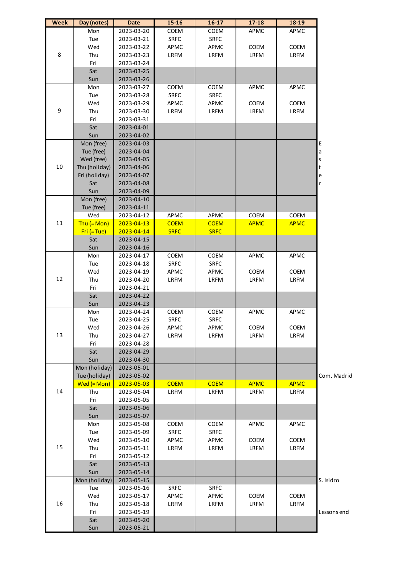| <b>Week</b> | Day (notes)      | Date       | $15 - 16$   | $16 - 17$   | $17 - 18$   | 18-19       |             |
|-------------|------------------|------------|-------------|-------------|-------------|-------------|-------------|
|             | Mon              | 2023-03-20 | COEM        | COEM        | APMC        | APMC        |             |
| 8           | Tue              | 2023-03-21 | SRFC        | <b>SRFC</b> |             |             |             |
|             | Wed              | 2023-03-22 | APMC        | APMC        | COEM        | COEM        |             |
|             | Thu              | 2023-03-23 | LRFM        | LRFM        | LRFM        | LRFM        |             |
|             | Fri              | 2023-03-24 |             |             |             |             |             |
|             | Sat              | 2023-03-25 |             |             |             |             |             |
|             | Sun              | 2023-03-26 |             |             |             |             |             |
|             | Mon              | 2023-03-27 | COEM        | COEM        | APMC        | APMC        |             |
|             | Tue              | 2023-03-28 | <b>SRFC</b> | <b>SRFC</b> |             |             |             |
|             | Wed              | 2023-03-29 | APMC        | APMC        | COEM        | COEM        |             |
| 9           | Thu              | 2023-03-30 | LRFM        | LRFM        | LRFM        | LRFM        |             |
|             | Fri              | 2023-03-31 |             |             |             |             |             |
|             | Sat              | 2023-04-01 |             |             |             |             |             |
|             | Sun              | 2023-04-02 |             |             |             |             |             |
|             | Mon (free)       | 2023-04-03 |             |             |             |             | E           |
|             | Tue (free)       | 2023-04-04 |             |             |             |             | a           |
|             | Wed (free)       | 2023-04-05 |             |             |             |             | S           |
| 10          | Thu (holiday)    | 2023-04-06 |             |             |             |             | t           |
|             | Fri (holiday)    | 2023-04-07 |             |             |             |             |             |
|             | Sat              | 2023-04-08 |             |             |             |             | e<br>r      |
|             |                  |            |             |             |             |             |             |
|             | Sun              | 2023-04-09 |             |             |             |             |             |
|             | Mon (free)       | 2023-04-10 |             |             |             |             |             |
|             | Tue (free)       | 2023-04-11 |             |             |             |             |             |
|             | Wed              | 2023-04-12 | APMC        | APMC        | COEM        | COEM        |             |
| $11\,$      | Thu $(=$ Mon $)$ | 2023-04-13 | <b>COEM</b> | <b>COEM</b> | <b>APMC</b> | <b>APMC</b> |             |
|             | $Fri (= Tue)$    | 2023-04-14 | <b>SRFC</b> | <b>SRFC</b> |             |             |             |
|             | Sat              | 2023-04-15 |             |             |             |             |             |
|             | Sun              | 2023-04-16 |             |             |             |             |             |
|             | Mon              | 2023-04-17 | COEM        | COEM        | APMC        | APMC        |             |
|             | Tue              | 2023-04-18 | SRFC        | <b>SRFC</b> |             |             |             |
|             | Wed              | 2023-04-19 | APMC        | APMC        | COEM        | COEM        |             |
| 12          | Thu              | 2023-04-20 | LRFM        | LRFM        | LRFM        | LRFM        |             |
|             | Fri              | 2023-04-21 |             |             |             |             |             |
|             | Sat              | 2023-04-22 |             |             |             |             |             |
|             | Sun              | 2023-04-23 |             |             |             |             |             |
|             | Mon              | 2023-04-24 | COEM        | COEM        | APMC        | APMC        |             |
|             | Tue              | 2023-04-25 | <b>SRFC</b> | <b>SRFC</b> |             |             |             |
|             | Wed              | 2023-04-26 | APMC        | APMC        | COEM        | COEM        |             |
| 13          | Thu              | 2023-04-27 | LRFM        | LRFM        | LRFM        | LRFM        |             |
|             | Fri              | 2023-04-28 |             |             |             |             |             |
|             | Sat              | 2023-04-29 |             |             |             |             |             |
|             | Sun              | 2023-04-30 |             |             |             |             |             |
|             | Mon (holiday)    | 2023-05-01 |             |             |             |             |             |
|             | Tue (holiday)    | 2023-05-02 |             |             |             |             | Com. Madrid |
|             | $Wed (=Mon)$     | 2023-05-03 | <b>COEM</b> | <b>COEM</b> | <b>APMC</b> | <b>APMC</b> |             |
| 14          | Thu              | 2023-05-04 | LRFM        | LRFM        | LRFM        | LRFM        |             |
|             | Fri              | 2023-05-05 |             |             |             |             |             |
|             | Sat              | 2023-05-06 |             |             |             |             |             |
|             | Sun              | 2023-05-07 |             |             |             |             |             |
|             | Mon              | 2023-05-08 | COEM        | <b>COEM</b> | APMC        | APMC        |             |
|             | Tue              | 2023-05-09 | SRFC        | <b>SRFC</b> |             |             |             |
|             | Wed              | 2023-05-10 | APMC        | APMC        | COEM        | COEM        |             |
| 15          | Thu              | 2023-05-11 | LRFM        | LRFM        | LRFM        | LRFM        |             |
|             | Fri              | 2023-05-12 |             |             |             |             |             |
|             | Sat              | 2023-05-13 |             |             |             |             |             |
|             | Sun              | 2023-05-14 |             |             |             |             |             |
|             | Mon (holiday)    | 2023-05-15 |             |             |             |             | S. Isidro   |
|             | Tue              | 2023-05-16 | <b>SRFC</b> | <b>SRFC</b> |             |             |             |
|             | Wed              | 2023-05-17 | APMC        | APMC        | COEM        | COEM        |             |
| 16          | Thu              | 2023-05-18 | LRFM        | LRFM        | LRFM        | LRFM        |             |
|             | Fri              | 2023-05-19 |             |             |             |             | Lessons end |
|             | Sat              | 2023-05-20 |             |             |             |             |             |
|             | Sun              | 2023-05-21 |             |             |             |             |             |
|             |                  |            |             |             |             |             |             |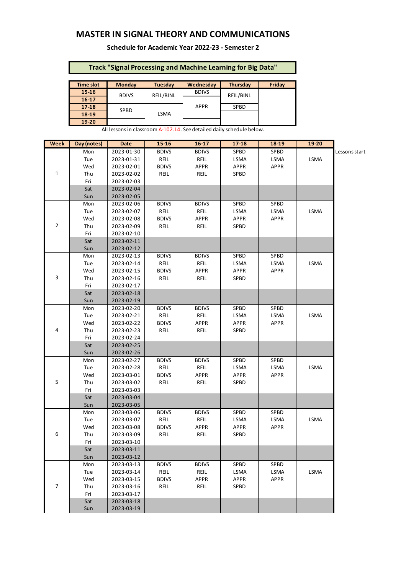## **MASTER IN SIGNAL THEORY AND COMMUNICATIONS**

#### **Schedule for Academic Year 2022-23 - Semester 2**

## **Track "Signal Processing and Machine Learning for Big Data"**

| <b>Time slot</b> | <b>Monday</b> | <b>Tuesday</b> | Wednesdav    | Thursday    | Fridav |
|------------------|---------------|----------------|--------------|-------------|--------|
| 15-16            | <b>BDIVS</b>  | REIL/BINL      | <b>BDIVS</b> | REIL/BINL   |        |
| $16 - 17$        |               |                |              |             |        |
| $17 - 18$        | <b>SPBD</b>   | <b>LSMA</b>    | <b>APPR</b>  | <b>SPBD</b> |        |
| 18-19            |               |                |              |             |        |
| 19-20            |               |                |              |             |        |

All lessons in classroom A-102.L4. See detailed daily schedule below.

| Week         | Day (notes) | Date       | 15-16        | $16-17$      | $17 - 18$   | 18-19       | 19-20 |               |
|--------------|-------------|------------|--------------|--------------|-------------|-------------|-------|---------------|
|              | Mon         | 2023-01-30 | <b>BDIVS</b> | <b>BDIVS</b> | SPBD        | SPBD        |       | Lessons start |
|              | Tue         | 2023-01-31 | REIL         | REIL         | LSMA        | LSMA        | LSMA  |               |
|              | Wed         | 2023-02-01 | <b>BDIVS</b> | <b>APPR</b>  | <b>APPR</b> | APPR        |       |               |
| $\mathbf{1}$ | Thu         | 2023-02-02 | REIL         | REIL         | SPBD        |             |       |               |
|              | Fri         | 2023-02-03 |              |              |             |             |       |               |
|              | Sat         | 2023-02-04 |              |              |             |             |       |               |
|              | Sun         | 2023-02-05 |              |              |             |             |       |               |
|              | Mon         | 2023-02-06 | <b>BDIVS</b> | <b>BDIVS</b> | SPBD        | SPBD        |       |               |
|              | Tue         | 2023-02-07 | REIL         | REIL         | LSMA        | LSMA        | LSMA  |               |
|              | Wed         | 2023-02-08 | <b>BDIVS</b> | <b>APPR</b>  | APPR        | <b>APPR</b> |       |               |
| 2            | Thu         | 2023-02-09 | REIL         | REIL         | SPBD        |             |       |               |
|              | Fri         | 2023-02-10 |              |              |             |             |       |               |
|              | Sat         | 2023-02-11 |              |              |             |             |       |               |
|              | Sun         | 2023-02-12 |              |              |             |             |       |               |
|              | Mon         | 2023-02-13 | <b>BDIVS</b> | <b>BDIVS</b> | SPBD        | SPBD        |       |               |
|              | Tue         | 2023-02-14 | REIL         | REIL         | LSMA        | LSMA        | LSMA  |               |
|              | Wed         | 2023-02-15 | <b>BDIVS</b> | <b>APPR</b>  | APPR        | APPR        |       |               |
| 3            | Thu         | 2023-02-16 | REIL         | REIL         | SPBD        |             |       |               |
|              | Fri         | 2023-02-17 |              |              |             |             |       |               |
|              | Sat         | 2023-02-18 |              |              |             |             |       |               |
|              | Sun         | 2023-02-19 |              |              |             |             |       |               |
|              | Mon         | 2023-02-20 | <b>BDIVS</b> | <b>BDIVS</b> | SPBD        | SPBD        |       |               |
|              | Tue         | 2023-02-21 | REIL         | REIL         | LSMA        | LSMA        | LSMA  |               |
|              | Wed         | 2023-02-22 | <b>BDIVS</b> | <b>APPR</b>  | APPR        | APPR        |       |               |
| 4            | Thu         | 2023-02-23 | REIL         | REIL         | SPBD        |             |       |               |
|              | Fri         | 2023-02-24 |              |              |             |             |       |               |
|              | Sat         | 2023-02-25 |              |              |             |             |       |               |
|              | Sun         | 2023-02-26 |              |              |             |             |       |               |
|              | Mon         | 2023-02-27 | <b>BDIVS</b> | <b>BDIVS</b> | SPBD        | SPBD        |       |               |
|              | Tue         | 2023-02-28 | REIL         | REIL         | LSMA        | LSMA        | LSMA  |               |
|              | Wed         | 2023-03-01 | <b>BDIVS</b> | APPR         | APPR        | APPR        |       |               |
| 5            | Thu         | 2023-03-02 | REIL         | REIL         | SPBD        |             |       |               |
|              | Fri         | 2023-03-03 |              |              |             |             |       |               |
|              | Sat         | 2023-03-04 |              |              |             |             |       |               |
|              | Sun         | 2023-03-05 |              |              |             |             |       |               |
|              | Mon         | 2023-03-06 | <b>BDIVS</b> | <b>BDIVS</b> | SPBD        | SPBD        |       |               |
|              | Tue         | 2023-03-07 | REIL         | REIL         | LSMA        | LSMA        | LSMA  |               |
|              | Wed         | 2023-03-08 | <b>BDIVS</b> | <b>APPR</b>  | <b>APPR</b> | <b>APPR</b> |       |               |
| 6            | Thu         | 2023-03-09 | REIL         | REIL         | SPBD        |             |       |               |
|              | Fri         | 2023-03-10 |              |              |             |             |       |               |
|              | Sat         | 2023-03-11 |              |              |             |             |       |               |
|              | Sun         | 2023-03-12 |              |              |             |             |       |               |
|              | Mon         | 2023-03-13 | <b>BDIVS</b> | <b>BDIVS</b> | SPBD        | SPBD        |       |               |
|              | Tue         | 2023-03-14 | REIL         | REIL         | LSMA        | LSMA        | LSMA  |               |
|              | Wed         | 2023-03-15 | <b>BDIVS</b> | <b>APPR</b>  | <b>APPR</b> | <b>APPR</b> |       |               |
| 7            | Thu         | 2023-03-16 | REIL         | REIL         | SPBD        |             |       |               |
|              | Fri         | 2023-03-17 |              |              |             |             |       |               |
|              | Sat         | 2023-03-18 |              |              |             |             |       |               |
|              | Sun         | 2023-03-19 |              |              |             |             |       |               |